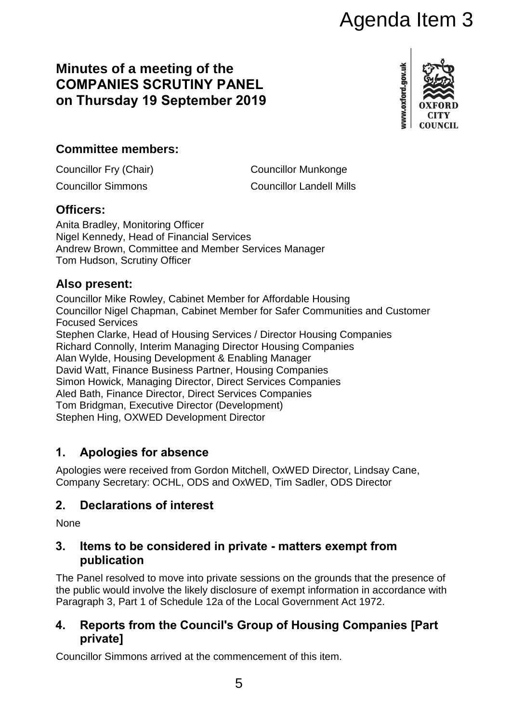# Agenda Item 3

# **Minutes of a meeting of the COMPANIES SCRUTINY PANEL on Thursday 19 September 2019**



# **Committee members:**

Councillor Fry (Chair) Councillor Munkonge

Councillor Simmons Councillor Landell Mills

#### **Officers:**

Anita Bradley, Monitoring Officer Nigel Kennedy, Head of Financial Services Andrew Brown, Committee and Member Services Manager Tom Hudson, Scrutiny Officer

## **Also present:**

Councillor Mike Rowley, Cabinet Member for Affordable Housing Councillor Nigel Chapman, Cabinet Member for Safer Communities and Customer Focused Services Stephen Clarke, Head of Housing Services / Director Housing Companies Richard Connolly, Interim Managing Director Housing Companies Alan Wylde, Housing Development & Enabling Manager David Watt, Finance Business Partner, Housing Companies Simon Howick, Managing Director, Direct Services Companies Aled Bath, Finance Director, Direct Services Companies Tom Bridgman, Executive Director (Development) Stephen Hing, OXWED Development Director

# **1. Apologies for absence**

Apologies were received from Gordon Mitchell, OxWED Director, Lindsay Cane, Company Secretary: OCHL, ODS and OxWED, Tim Sadler, ODS Director

# **2. Declarations of interest**

**None** 

#### **3. Items to be considered in private - matters exempt from publication**

The Panel resolved to move into private sessions on the grounds that the presence of the public would involve the likely disclosure of exempt information in accordance with Paragraph 3, Part 1 of Schedule 12a of the Local Government Act 1972.

## **4. Reports from the Council's Group of Housing Companies [Part private]**

Councillor Simmons arrived at the commencement of this item.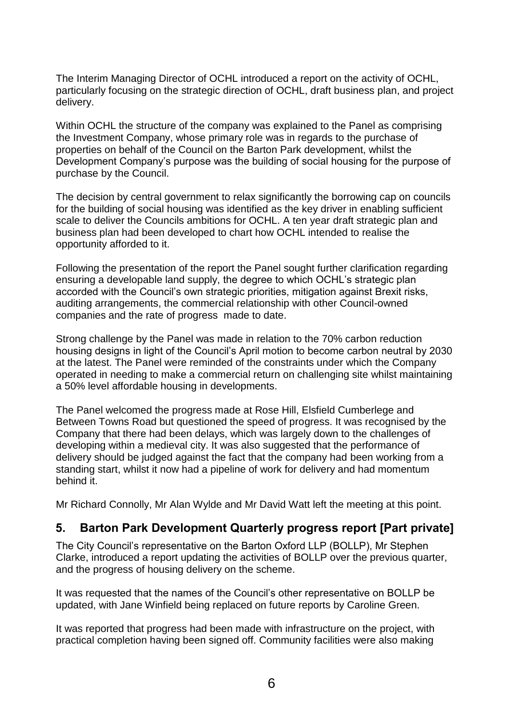The Interim Managing Director of OCHL introduced a report on the activity of OCHL, particularly focusing on the strategic direction of OCHL, draft business plan, and project delivery.

Within OCHL the structure of the company was explained to the Panel as comprising the Investment Company, whose primary role was in regards to the purchase of properties on behalf of the Council on the Barton Park development, whilst the Development Company's purpose was the building of social housing for the purpose of purchase by the Council.

The decision by central government to relax significantly the borrowing cap on councils for the building of social housing was identified as the key driver in enabling sufficient scale to deliver the Councils ambitions for OCHL. A ten year draft strategic plan and business plan had been developed to chart how OCHL intended to realise the opportunity afforded to it.

Following the presentation of the report the Panel sought further clarification regarding ensuring a developable land supply, the degree to which OCHL's strategic plan accorded with the Council's own strategic priorities, mitigation against Brexit risks, auditing arrangements, the commercial relationship with other Council-owned companies and the rate of progress made to date.

Strong challenge by the Panel was made in relation to the 70% carbon reduction housing designs in light of the Council's April motion to become carbon neutral by 2030 at the latest. The Panel were reminded of the constraints under which the Company operated in needing to make a commercial return on challenging site whilst maintaining a 50% level affordable housing in developments.

The Panel welcomed the progress made at Rose Hill, Elsfield Cumberlege and Between Towns Road but questioned the speed of progress. It was recognised by the Company that there had been delays, which was largely down to the challenges of developing within a medieval city. It was also suggested that the performance of delivery should be judged against the fact that the company had been working from a standing start, whilst it now had a pipeline of work for delivery and had momentum behind it.

Mr Richard Connolly, Mr Alan Wylde and Mr David Watt left the meeting at this point.

#### **5. Barton Park Development Quarterly progress report [Part private]**

The City Council's representative on the Barton Oxford LLP (BOLLP), Mr Stephen Clarke, introduced a report updating the activities of BOLLP over the previous quarter, and the progress of housing delivery on the scheme.

It was requested that the names of the Council's other representative on BOLLP be updated, with Jane Winfield being replaced on future reports by Caroline Green.

It was reported that progress had been made with infrastructure on the project, with practical completion having been signed off. Community facilities were also making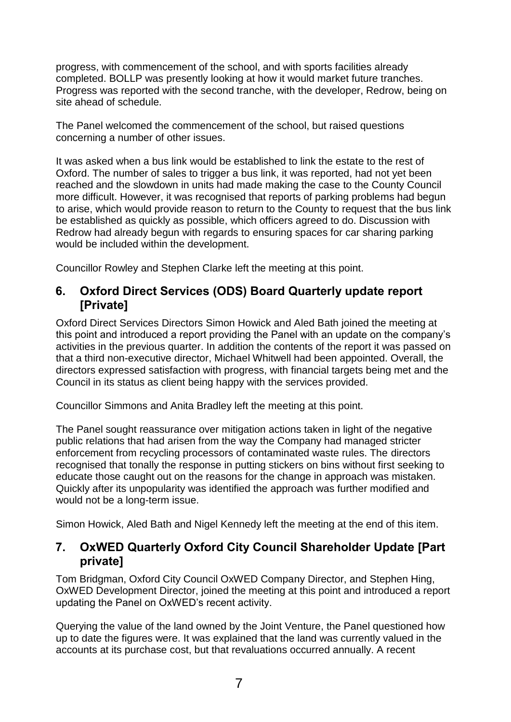progress, with commencement of the school, and with sports facilities already completed. BOLLP was presently looking at how it would market future tranches. Progress was reported with the second tranche, with the developer, Redrow, being on site ahead of schedule.

The Panel welcomed the commencement of the school, but raised questions concerning a number of other issues.

It was asked when a bus link would be established to link the estate to the rest of Oxford. The number of sales to trigger a bus link, it was reported, had not yet been reached and the slowdown in units had made making the case to the County Council more difficult. However, it was recognised that reports of parking problems had begun to arise, which would provide reason to return to the County to request that the bus link be established as quickly as possible, which officers agreed to do. Discussion with Redrow had already begun with regards to ensuring spaces for car sharing parking would be included within the development.

Councillor Rowley and Stephen Clarke left the meeting at this point.

#### **6. Oxford Direct Services (ODS) Board Quarterly update report [Private]**

Oxford Direct Services Directors Simon Howick and Aled Bath joined the meeting at this point and introduced a report providing the Panel with an update on the company's activities in the previous quarter. In addition the contents of the report it was passed on that a third non-executive director, Michael Whitwell had been appointed. Overall, the directors expressed satisfaction with progress, with financial targets being met and the Council in its status as client being happy with the services provided.

Councillor Simmons and Anita Bradley left the meeting at this point.

The Panel sought reassurance over mitigation actions taken in light of the negative public relations that had arisen from the way the Company had managed stricter enforcement from recycling processors of contaminated waste rules. The directors recognised that tonally the response in putting stickers on bins without first seeking to educate those caught out on the reasons for the change in approach was mistaken. Quickly after its unpopularity was identified the approach was further modified and would not be a long-term issue.

Simon Howick, Aled Bath and Nigel Kennedy left the meeting at the end of this item.

#### **7. OxWED Quarterly Oxford City Council Shareholder Update [Part private]**

Tom Bridgman, Oxford City Council OxWED Company Director, and Stephen Hing, OxWED Development Director, joined the meeting at this point and introduced a report updating the Panel on OxWED's recent activity.

Querying the value of the land owned by the Joint Venture, the Panel questioned how up to date the figures were. It was explained that the land was currently valued in the accounts at its purchase cost, but that revaluations occurred annually. A recent